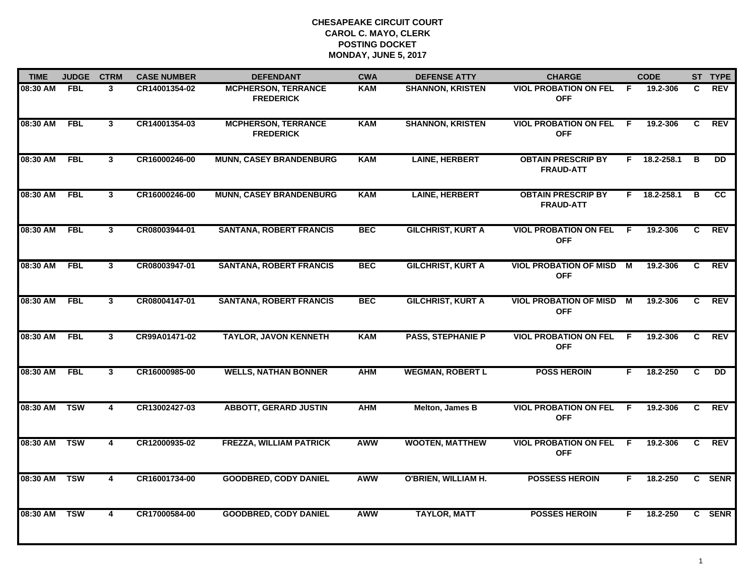| <b>TIME</b> | <b>JUDGE</b> | <b>CTRM</b>    | <b>CASE NUMBER</b> | <b>DEFENDANT</b>                               | <b>CWA</b> | <b>DEFENSE ATTY</b>        | <b>CHARGE</b>                                 |                | <b>CODE</b> |    | ST TYPE         |
|-------------|--------------|----------------|--------------------|------------------------------------------------|------------|----------------------------|-----------------------------------------------|----------------|-------------|----|-----------------|
| 08:30 AM    | <b>FBL</b>   | 3              | CR14001354-02      | <b>MCPHERSON, TERRANCE</b><br><b>FREDERICK</b> | <b>KAM</b> | <b>SHANNON, KRISTEN</b>    | <b>VIOL PROBATION ON FEL</b><br><b>OFF</b>    | -F             | 19.2-306    | C. | REV             |
| 08:30 AM    | <b>FBL</b>   | $\mathbf{3}$   | CR14001354-03      | <b>MCPHERSON, TERRANCE</b><br><b>FREDERICK</b> | <b>KAM</b> | <b>SHANNON, KRISTEN</b>    | <b>VIOL PROBATION ON FEL</b><br><b>OFF</b>    | F.             | 19.2-306    | C  | <b>REV</b>      |
| 08:30 AM    | <b>FBL</b>   | 3              | CR16000246-00      | <b>MUNN, CASEY BRANDENBURG</b>                 | <b>KAM</b> | <b>LAINE, HERBERT</b>      | <b>OBTAIN PRESCRIP BY</b><br><b>FRAUD-ATT</b> | F.             | 18.2-258.1  | в  | $\overline{DD}$ |
| 08:30 AM    | <b>FBL</b>   | $\mathbf{3}$   | CR16000246-00      | <b>MUNN, CASEY BRANDENBURG</b>                 | <b>KAM</b> | <b>LAINE, HERBERT</b>      | <b>OBTAIN PRESCRIP BY</b><br><b>FRAUD-ATT</b> | F.             | 18.2-258.1  | в  | cc              |
| 08:30 AM    | <b>FBL</b>   | $\mathbf{3}$   | CR08003944-01      | <b>SANTANA, ROBERT FRANCIS</b>                 | <b>BEC</b> | <b>GILCHRIST, KURT A</b>   | <b>VIOL PROBATION ON FEL</b><br><b>OFF</b>    | -F             | 19.2-306    | C  | <b>REV</b>      |
| 08:30 AM    | FBL          | $\mathbf{3}$   | CR08003947-01      | <b>SANTANA, ROBERT FRANCIS</b>                 | <b>BEC</b> | <b>GILCHRIST, KURT A</b>   | <b>VIOL PROBATION OF MISD</b><br><b>OFF</b>   | М              | 19.2-306    | C. | <b>REV</b>      |
| 08:30 AM    | <b>FBL</b>   | 3              | CR08004147-01      | <b>SANTANA, ROBERT FRANCIS</b>                 | <b>BEC</b> | <b>GILCHRIST, KURT A</b>   | <b>VIOL PROBATION OF MISD</b><br><b>OFF</b>   | $\overline{M}$ | 19.2-306    | C  | <b>REV</b>      |
| 08:30 AM    | <b>FBL</b>   | $\mathbf{3}$   | CR99A01471-02      | <b>TAYLOR, JAVON KENNETH</b>                   | <b>KAM</b> | <b>PASS, STEPHANIE P</b>   | <b>VIOL PROBATION ON FEL</b><br><b>OFF</b>    | F.             | 19.2-306    | C. | <b>REV</b>      |
| 08:30 AM    | <b>FBL</b>   | 3              | CR16000985-00      | <b>WELLS, NATHAN BONNER</b>                    | <b>AHM</b> | <b>WEGMAN, ROBERT L</b>    | <b>POSS HEROIN</b>                            | F.             | 18.2-250    | C  | DD.             |
| 08:30 AM    | <b>TSW</b>   | 4              | CR13002427-03      | <b>ABBOTT, GERARD JUSTIN</b>                   | <b>AHM</b> | Melton, James B            | <b>VIOL PROBATION ON FEL</b><br><b>OFF</b>    | -F             | 19.2-306    | C  | <b>REV</b>      |
| 08:30 AM    | <b>TSW</b>   | 4              | CR12000935-02      | <b>FREZZA, WILLIAM PATRICK</b>                 | <b>AWW</b> | <b>WOOTEN, MATTHEW</b>     | <b>VIOL PROBATION ON FEL</b><br><b>OFF</b>    | -F.            | 19.2-306    | C  | <b>REV</b>      |
| 08:30 AM    | <b>TSW</b>   | $\overline{4}$ | CR16001734-00      | <b>GOODBRED, CODY DANIEL</b>                   | <b>AWW</b> | <b>O'BRIEN, WILLIAM H.</b> | <b>POSSESS HEROIN</b>                         | F.             | 18.2-250    |    | C SENR          |
| 08:30 AM    | <b>TSW</b>   | 4              | CR17000584-00      | <b>GOODBRED, CODY DANIEL</b>                   | <b>AWW</b> | <b>TAYLOR, MATT</b>        | <b>POSSES HEROIN</b>                          | F.             | 18.2-250    |    | C SENR          |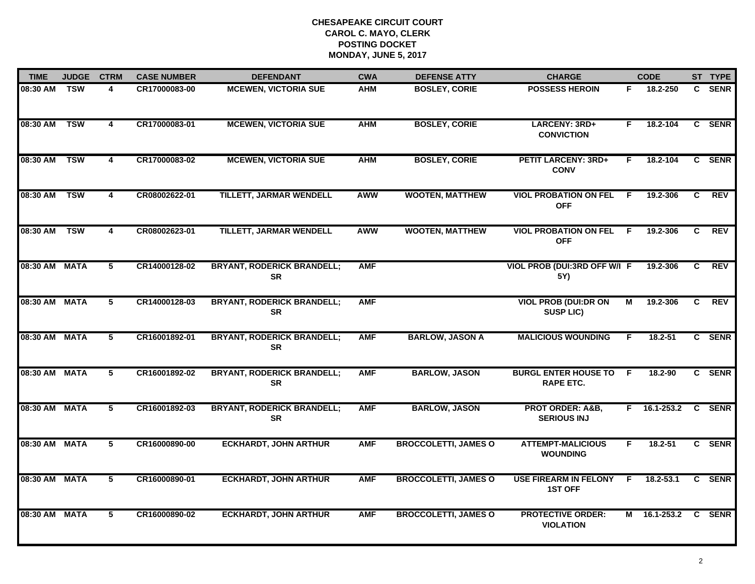| <b>TIME</b>   | <b>JUDGE</b> | <b>CTRM</b>             | <b>CASE NUMBER</b> | <b>DEFENDANT</b>                               | <b>CWA</b> | <b>DEFENSE ATTY</b>         | <b>CHARGE</b>                                     |                         | <b>CODE</b>  |                | ST TYPE     |
|---------------|--------------|-------------------------|--------------------|------------------------------------------------|------------|-----------------------------|---------------------------------------------------|-------------------------|--------------|----------------|-------------|
| 08:30 AM TSW  |              | 4                       | CR17000083-00      | <b>MCEWEN, VICTORIA SUE</b>                    | <b>AHM</b> | <b>BOSLEY, CORIE</b>        | <b>POSSESS HEROIN</b>                             | F.                      | 18.2-250     |                | C SENR      |
| 08:30 AM      | <b>TSW</b>   | $\overline{\mathbf{4}}$ | CR17000083-01      | <b>MCEWEN, VICTORIA SUE</b>                    | <b>AHM</b> | <b>BOSLEY, CORIE</b>        | LARCENY: 3RD+<br><b>CONVICTION</b>                | F.                      | 18.2-104     |                | C SENR      |
| 08:30 AM      | <b>TSW</b>   | 4                       | CR17000083-02      | <b>MCEWEN, VICTORIA SUE</b>                    | <b>AHM</b> | <b>BOSLEY, CORIE</b>        | <b>PETIT LARCENY: 3RD+</b><br><b>CONV</b>         | F.                      | 18.2-104     |                | C SENR      |
| 08:30 AM      | <b>TSW</b>   | 4                       | CR08002622-01      | TILLETT, JARMAR WENDELL                        | AWW        | <b>WOOTEN, MATTHEW</b>      | <b>VIOL PROBATION ON FEL</b><br><b>OFF</b>        | - F                     | 19.2-306     | C              | <b>REV</b>  |
| 08:30 AM      | <b>TSW</b>   | 4                       | CR08002623-01      | <b>TILLETT, JARMAR WENDELL</b>                 | <b>AWW</b> | <b>WOOTEN, MATTHEW</b>      | <b>VIOL PROBATION ON FEL</b><br><b>OFF</b>        | F.                      | 19.2-306     | C.             | <b>REV</b>  |
| 08:30 AM MATA |              | 5                       | CR14000128-02      | <b>BRYANT, RODERICK BRANDELL;</b><br><b>SR</b> | <b>AMF</b> |                             | VIOL PROB (DUI:3RD OFF W/I F<br>5Y)               |                         | 19.2-306     | C.             | <b>REV</b>  |
| 08:30 AM MATA |              | 5                       | CR14000128-03      | <b>BRYANT, RODERICK BRANDELL;</b><br><b>SR</b> | <b>AMF</b> |                             | <b>VIOL PROB (DUI:DR ON</b><br><b>SUSP LIC)</b>   | $\overline{\mathsf{M}}$ | 19.2-306     | C              | <b>REV</b>  |
| 08:30 AM MATA |              | 5                       | CR16001892-01      | <b>BRYANT, RODERICK BRANDELL;</b><br><b>SR</b> | <b>AMF</b> | <b>BARLOW, JASON A</b>      | <b>MALICIOUS WOUNDING</b>                         | F                       | 18.2-51      |                | C SENR      |
| 08:30 AM MATA |              | 5                       | CR16001892-02      | <b>BRYANT, RODERICK BRANDELL;</b><br><b>SR</b> | <b>AMF</b> | <b>BARLOW, JASON</b>        | <b>BURGL ENTER HOUSE TO</b><br><b>RAPE ETC.</b>   | -F.                     | 18.2-90      |                | C SENR      |
| 08:30 AM MATA |              | 5                       | CR16001892-03      | <b>BRYANT, RODERICK BRANDELL;</b><br><b>SR</b> | <b>AMF</b> | <b>BARLOW, JASON</b>        | <b>PROT ORDER: A&amp;B,</b><br><b>SERIOUS INJ</b> |                         | F 16.1-253.2 |                | C SENR      |
| 08:30 AM MATA |              | 5                       | CR16000890-00      | <b>ECKHARDT, JOHN ARTHUR</b>                   | <b>AMF</b> | <b>BROCCOLETTI, JAMES O</b> | <b>ATTEMPT-MALICIOUS</b><br><b>WOUNDING</b>       | F.                      | $18.2 - 51$  |                | C SENR      |
| 08:30 AM MATA |              | $\overline{5}$          | CR16000890-01      | <b>ECKHARDT, JOHN ARTHUR</b>                   | <b>AMF</b> | <b>BROCCOLETTI, JAMES O</b> | <b>USE FIREARM IN FELONY</b><br><b>1ST OFF</b>    | F.                      | 18.2-53.1    | $\overline{c}$ | <b>SENR</b> |
| 08:30 AM MATA |              | 5                       | CR16000890-02      | <b>ECKHARDT, JOHN ARTHUR</b>                   | <b>AMF</b> | <b>BROCCOLETTI, JAMES O</b> | <b>PROTECTIVE ORDER:</b><br><b>VIOLATION</b>      |                         | M 16.1-253.2 |                | C SENR      |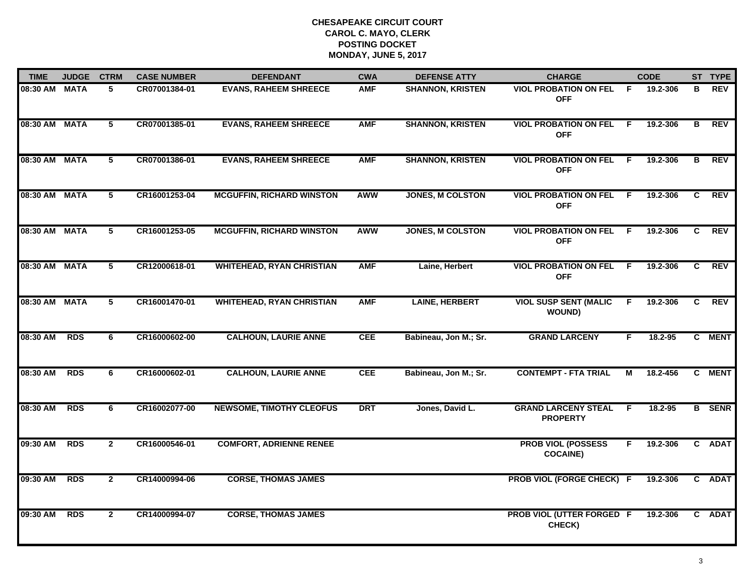| <b>TIME</b>   | <b>JUDGE</b> | <b>CTRM</b>     | <b>CASE NUMBER</b> | <b>DEFENDANT</b>                 | <b>CWA</b> | <b>DEFENSE ATTY</b>     | <b>CHARGE</b>                                 |     | <b>CODE</b> |              | ST TYPE       |
|---------------|--------------|-----------------|--------------------|----------------------------------|------------|-------------------------|-----------------------------------------------|-----|-------------|--------------|---------------|
| 08:30 AM MATA |              | 5               | CR07001384-01      | <b>EVANS, RAHEEM SHREECE</b>     | <b>AMF</b> | <b>SHANNON, KRISTEN</b> | <b>VIOL PROBATION ON FEL</b><br><b>OFF</b>    | -F. | 19.2-306    | В            | <b>REV</b>    |
| 08:30 AM MATA |              | $5\phantom{.0}$ | CR07001385-01      | <b>EVANS, RAHEEM SHREECE</b>     | <b>AMF</b> | <b>SHANNON, KRISTEN</b> | <b>VIOL PROBATION ON FEL</b><br><b>OFF</b>    | F.  | 19.2-306    | В            | <b>REV</b>    |
| 08:30 AM MATA |              | 5               | CR07001386-01      | <b>EVANS, RAHEEM SHREECE</b>     | <b>AMF</b> | <b>SHANNON, KRISTEN</b> | <b>VIOL PROBATION ON FEL</b><br><b>OFF</b>    | -F  | 19.2-306    | в            | <b>REV</b>    |
| 08:30 AM MATA |              | 5               | CR16001253-04      | <b>MCGUFFIN, RICHARD WINSTON</b> | <b>AWW</b> | <b>JONES, M COLSTON</b> | <b>VIOL PROBATION ON FEL</b><br><b>OFF</b>    | - F | 19.2-306    | C            | <b>REV</b>    |
| 08:30 AM MATA |              | 5               | CR16001253-05      | <b>MCGUFFIN, RICHARD WINSTON</b> | <b>AWW</b> | <b>JONES, M COLSTON</b> | <b>VIOL PROBATION ON FEL</b><br><b>OFF</b>    | -F  | 19.2-306    | C.           | <b>REV</b>    |
| 08:30 AM MATA |              | 5               | CR12000618-01      | <b>WHITEHEAD, RYAN CHRISTIAN</b> | <b>AMF</b> | Laine, Herbert          | <b>VIOL PROBATION ON FEL</b><br><b>OFF</b>    | F.  | 19.2-306    | C            | <b>REV</b>    |
| 08:30 AM MATA |              | 5               | CR16001470-01      | <b>WHITEHEAD, RYAN CHRISTIAN</b> | <b>AMF</b> | <b>LAINE, HERBERT</b>   | <b>VIOL SUSP SENT (MALIC</b><br><b>WOUND)</b> | F.  | 19.2-306    | C            | <b>REV</b>    |
| 08:30 AM      | <b>RDS</b>   | 6               | CR16000602-00      | <b>CALHOUN, LAURIE ANNE</b>      | <b>CEE</b> | Babineau, Jon M.; Sr.   | <b>GRAND LARCENY</b>                          | F   | 18.2-95     |              | C MENT        |
| 08:30 AM      | <b>RDS</b>   | 6               | CR16000602-01      | <b>CALHOUN, LAURIE ANNE</b>      | <b>CEE</b> | Babineau, Jon M.; Sr.   | <b>CONTEMPT - FTA TRIAL</b>                   | м   | 18.2-456    |              | C MENT        |
| 08:30 AM      | <b>RDS</b>   | 6               | CR16002077-00      | <b>NEWSOME, TIMOTHY CLEOFUS</b>  | <b>DRT</b> | Jones, David L.         | <b>GRAND LARCENY STEAL</b><br><b>PROPERTY</b> | F.  | 18.2-95     |              | <b>B</b> SENR |
| 09:30 AM      | <b>RDS</b>   | $\overline{2}$  | CR16000546-01      | <b>COMFORT, ADRIENNE RENEE</b>   |            |                         | <b>PROB VIOL (POSSESS</b><br><b>COCAINE)</b>  | F   | 19.2-306    | $\mathbf{c}$ | <b>ADAT</b>   |
| 09:30 AM      | <b>RDS</b>   | $\overline{2}$  | CR14000994-06      | <b>CORSE, THOMAS JAMES</b>       |            |                         | <b>PROB VIOL (FORGE CHECK) F</b>              |     | 19.2-306    |              | C ADAT        |
| 09:30 AM      | <b>RDS</b>   | $\mathbf{2}$    | CR14000994-07      | <b>CORSE, THOMAS JAMES</b>       |            |                         | <b>PROB VIOL (UTTER FORGED F</b><br>CHECK)    |     | 19.2-306    |              | C ADAT        |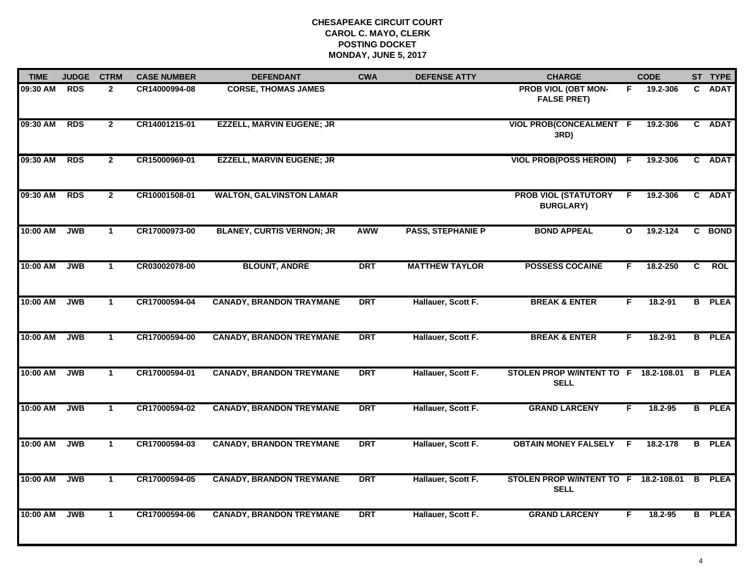| <b>TIME</b> | <b>JUDGE</b> | <b>CTRM</b>    | <b>CASE NUMBER</b> | <b>DEFENDANT</b>                 | <b>CWA</b> | <b>DEFENSE ATTY</b>      | <b>CHARGE</b>                                        |              | <b>CODE</b> |              | ST TYPE       |
|-------------|--------------|----------------|--------------------|----------------------------------|------------|--------------------------|------------------------------------------------------|--------------|-------------|--------------|---------------|
| 09:30 AM    | <b>RDS</b>   | $\mathbf{2}$   | CR14000994-08      | <b>CORSE, THOMAS JAMES</b>       |            |                          | PROB VIOL (OBT MON-<br><b>FALSE PRET)</b>            | F.           | 19.2-306    | $\mathbf{C}$ | <b>ADAT</b>   |
| 09:30 AM    | <b>RDS</b>   | $\overline{2}$ | CR14001215-01      | <b>EZZELL, MARVIN EUGENE; JR</b> |            |                          | VIOL PROB(CONCEALMENT F<br>3RD)                      |              | 19.2-306    | $\mathbf{c}$ | <b>ADAT</b>   |
| 09:30 AM    | <b>RDS</b>   | $\overline{2}$ | CR15000969-01      | <b>EZZELL, MARVIN EUGENE; JR</b> |            |                          | <b>VIOL PROB(POSS HEROIN) F</b>                      |              | 19.2-306    |              | C ADAT        |
| 09:30 AM    | <b>RDS</b>   | $\mathbf{2}$   | CR10001508-01      | <b>WALTON, GALVINSTON LAMAR</b>  |            |                          | <b>PROB VIOL (STATUTORY</b><br><b>BURGLARY)</b>      | F.           | 19.2-306    |              | C ADAT        |
| 10:00 AM    | <b>JWB</b>   | $\mathbf{1}$   | CR17000973-00      | <b>BLANEY, CURTIS VERNON; JR</b> | AWW        | <b>PASS, STEPHANIE P</b> | <b>BOND APPEAL</b>                                   | $\mathbf{o}$ | 19.2-124    |              | C BOND        |
| 10:00 AM    | <b>JWB</b>   | $\mathbf{1}$   | CR03002078-00      | <b>BLOUNT, ANDRE</b>             | <b>DRT</b> | <b>MATTHEW TAYLOR</b>    | <b>POSSESS COCAINE</b>                               | F.           | 18.2-250    | C            | <b>ROL</b>    |
| 10:00 AM    | <b>JWB</b>   | $\overline{1}$ | CR17000594-04      | <b>CANADY, BRANDON TRAYMANE</b>  | <b>DRT</b> | Hallauer, Scott F.       | <b>BREAK &amp; ENTER</b>                             | F.           | 18.2-91     |              | <b>B</b> PLEA |
| 10:00 AM    | <b>JWB</b>   | $\mathbf{1}$   | CR17000594-00      | <b>CANADY, BRANDON TREYMANE</b>  | <b>DRT</b> | Hallauer, Scott F.       | <b>BREAK &amp; ENTER</b>                             | F.           | 18.2-91     |              | <b>B</b> PLEA |
| 10:00 AM    | <b>JWB</b>   | 1              | CR17000594-01      | <b>CANADY, BRANDON TREYMANE</b>  | <b>DRT</b> | Hallauer, Scott F.       | STOLEN PROP W/INTENT TO F 18.2-108.01<br><b>SELL</b> |              |             |              | <b>B</b> PLEA |
| 10:00 AM    | <b>JWB</b>   | $\mathbf{1}$   | CR17000594-02      | <b>CANADY, BRANDON TREYMANE</b>  | <b>DRT</b> | Hallauer, Scott F.       | <b>GRAND LARCENY</b>                                 | F.           | 18.2-95     |              | <b>B</b> PLEA |
| 10:00 AM    | <b>JWB</b>   | $\mathbf{1}$   | CR17000594-03      | <b>CANADY, BRANDON TREYMANE</b>  | <b>DRT</b> | Hallauer, Scott F.       | <b>OBTAIN MONEY FALSELY F</b>                        |              | 18.2-178    |              | <b>B</b> PLEA |
| 10:00 AM    | <b>JWB</b>   | $\mathbf{1}$   | CR17000594-05      | <b>CANADY, BRANDON TREYMANE</b>  | <b>DRT</b> | Hallauer, Scott F.       | STOLEN PROP W/INTENT TO F 18.2-108.01<br><b>SELL</b> |              |             |              | <b>B</b> PLEA |
| 10:00 AM    | <b>JWB</b>   | $\mathbf{1}$   | CR17000594-06      | <b>CANADY, BRANDON TREYMANE</b>  | <b>DRT</b> | Hallauer, Scott F.       | <b>GRAND LARCENY</b>                                 | F.           | 18.2-95     |              | <b>B</b> PLEA |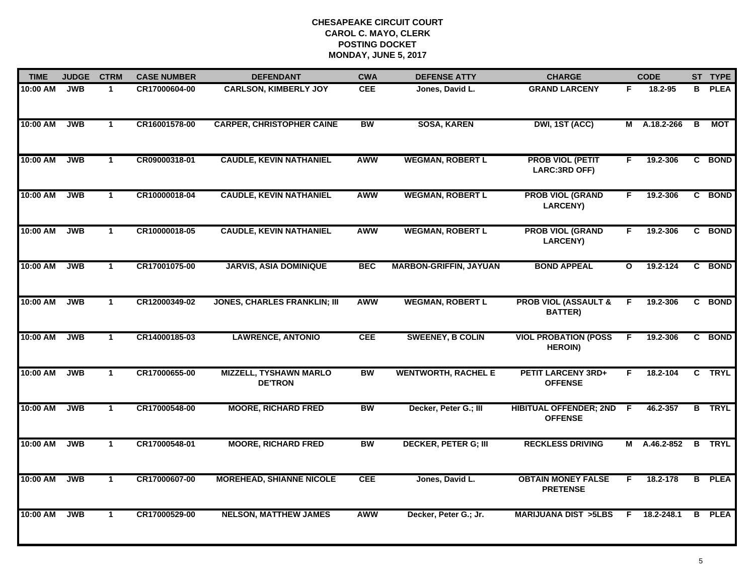| <b>TIME</b> | <b>JUDGE</b> | <b>CTRM</b>    | <b>CASE NUMBER</b> | <b>DEFENDANT</b>                                | <b>CWA</b> | <b>DEFENSE ATTY</b>           | <b>CHARGE</b>                                     |              | <b>CODE</b>    |              | ST TYPE       |
|-------------|--------------|----------------|--------------------|-------------------------------------------------|------------|-------------------------------|---------------------------------------------------|--------------|----------------|--------------|---------------|
| 10:00 AM    | <b>JWB</b>   | $\mathbf{1}$   | CR17000604-00      | <b>CARLSON, KIMBERLY JOY</b>                    | <b>CEE</b> | Jones, David L.               | <b>GRAND LARCENY</b>                              | F.           | 18.2-95        |              | <b>B</b> PLEA |
| 10:00 AM    | <b>JWB</b>   | $\mathbf{1}$   | CR16001578-00      | <b>CARPER, CHRISTOPHER CAINE</b>                | <b>BW</b>  | <b>SOSA, KAREN</b>            | DWI, 1ST (ACC)                                    |              | $M$ A.18.2-266 | B            | MOT           |
| 10:00 AM    | <b>JWB</b>   | $\mathbf{1}$   | CR09000318-01      | <b>CAUDLE, KEVIN NATHANIEL</b>                  | <b>AWW</b> | <b>WEGMAN, ROBERT L</b>       | <b>PROB VIOL (PETIT</b><br>LARC:3RD OFF)          | F.           | 19.2-306       |              | C BOND        |
| 10:00 AM    | <b>JWB</b>   | $\mathbf{1}$   | CR10000018-04      | <b>CAUDLE, KEVIN NATHANIEL</b>                  | <b>AWW</b> | <b>WEGMAN, ROBERT L</b>       | <b>PROB VIOL (GRAND</b><br><b>LARCENY)</b>        | F.           | 19.2-306       |              | C BOND        |
| 10:00 AM    | <b>JWB</b>   | $\mathbf{1}$   | CR10000018-05      | <b>CAUDLE, KEVIN NATHANIEL</b>                  | <b>AWW</b> | <b>WEGMAN, ROBERT L</b>       | <b>PROB VIOL (GRAND</b><br><b>LARCENY)</b>        | F.           | 19.2-306       |              | C BOND        |
| 10:00 AM    | <b>JWB</b>   | $\mathbf{1}$   | CR17001075-00      | <b>JARVIS, ASIA DOMINIQUE</b>                   | <b>BEC</b> | <b>MARBON-GRIFFIN, JAYUAN</b> | <b>BOND APPEAL</b>                                | $\mathbf{o}$ | 19.2-124       |              | C BOND        |
| 10:00 AM    | <b>JWB</b>   | $\mathbf{1}$   | CR12000349-02      | <b>JONES, CHARLES FRANKLIN; III</b>             | <b>AWW</b> | <b>WEGMAN, ROBERT L</b>       | <b>PROB VIOL (ASSAULT &amp;</b><br><b>BATTER)</b> | F.           | 19.2-306       |              | C BOND        |
| 10:00 AM    | JWB          | $\mathbf{1}$   | CR14000185-03      | <b>LAWRENCE, ANTONIO</b>                        | <b>CEE</b> | <b>SWEENEY, B COLIN</b>       | <b>VIOL PROBATION (POSS</b><br><b>HEROIN)</b>     | F            | 19.2-306       |              | C BOND        |
| 10:00 AM    | <b>JWB</b>   | $\mathbf 1$    | CR17000655-00      | <b>MIZZELL, TYSHAWN MARLO</b><br><b>DE'TRON</b> | <b>BW</b>  | <b>WENTWORTH, RACHEL E</b>    | <b>PETIT LARCENY 3RD+</b><br><b>OFFENSE</b>       | F.           | 18.2-104       | $\mathbf{c}$ | <b>TRYL</b>   |
| 10:00 AM    | <b>JWB</b>   | $\mathbf{1}$   | CR17000548-00      | <b>MOORE, RICHARD FRED</b>                      | <b>BW</b>  | Decker, Peter G.; III         | <b>HIBITUAL OFFENDER; 2ND</b><br><b>OFFENSE</b>   | F.           | 46.2-357       |              | <b>B</b> TRYL |
| 10:00 AM    | <b>JWB</b>   | $\mathbf{1}$   | CR17000548-01      | <b>MOORE, RICHARD FRED</b>                      | <b>BW</b>  | <b>DECKER, PETER G; III</b>   | <b>RECKLESS DRIVING</b>                           |              | M A.46.2-852   |              | <b>B</b> TRYL |
| 10:00 AM    | <b>JWB</b>   | $\overline{1}$ | CR17000607-00      | <b>MOREHEAD, SHIANNE NICOLE</b>                 | <b>CEE</b> | Jones, David L.               | <b>OBTAIN MONEY FALSE</b><br><b>PRETENSE</b>      | F            | 18.2-178       |              | <b>B</b> PLEA |
| 10:00 AM    | <b>JWB</b>   | $\mathbf{1}$   | CR17000529-00      | <b>NELSON, MATTHEW JAMES</b>                    | <b>AWW</b> | Decker, Peter G.; Jr.         | <b>MARIJUANA DIST &gt;5LBS</b>                    | F.           | 18.2-248.1     |              | <b>B</b> PLEA |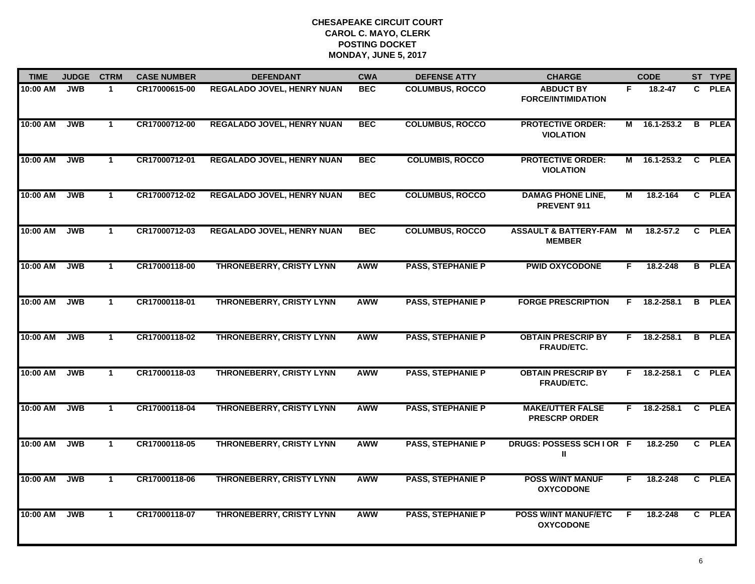| <b>TIME</b> | <b>JUDGE</b> | <b>CTRM</b>  | <b>CASE NUMBER</b> | <b>DEFENDANT</b>                  | <b>CWA</b> | <b>DEFENSE ATTY</b>      | <b>CHARGE</b>                                     |    | <b>CODE</b>         | ST TYPE       |
|-------------|--------------|--------------|--------------------|-----------------------------------|------------|--------------------------|---------------------------------------------------|----|---------------------|---------------|
| 10:00 AM    | <b>JWB</b>   | $\mathbf{1}$ | CR17000615-00      | REGALADO JOVEL, HENRY NUAN        | <b>BEC</b> | <b>COLUMBUS, ROCCO</b>   | <b>ABDUCT BY</b><br><b>FORCE/INTIMIDATION</b>     | F. | 18.2-47             | C PLEA        |
| 10:00 AM    | <b>JWB</b>   | $\mathbf{1}$ | CR17000712-00      | <b>REGALADO JOVEL, HENRY NUAN</b> | <b>BEC</b> | <b>COLUMBUS, ROCCO</b>   | <b>PROTECTIVE ORDER:</b><br><b>VIOLATION</b>      |    | M 16.1-253.2 B PLEA |               |
| 10:00 AM    | <b>JWB</b>   | $\mathbf{1}$ | CR17000712-01      | <b>REGALADO JOVEL, HENRY NUAN</b> | <b>BEC</b> | <b>COLUMBIS, ROCCO</b>   | <b>PROTECTIVE ORDER:</b><br><b>VIOLATION</b>      |    | M 16.1-253.2        | C PLEA        |
| 10:00 AM    | <b>JWB</b>   | $\mathbf{1}$ | CR17000712-02      | <b>REGALADO JOVEL, HENRY NUAN</b> | <b>BEC</b> | <b>COLUMBUS, ROCCO</b>   | <b>DAMAG PHONE LINE,</b><br>PREVENT 911           | М  | 18.2-164            | C PLEA        |
| 10:00 AM    | <b>JWB</b>   | $\mathbf{1}$ | CR17000712-03      | <b>REGALADO JOVEL, HENRY NUAN</b> | <b>BEC</b> | <b>COLUMBUS, ROCCO</b>   | <b>ASSAULT &amp; BATTERY-FAM</b><br><b>MEMBER</b> | M  | 18.2-57.2           | C PLEA        |
| 10:00 AM    | <b>JWB</b>   | $\mathbf{1}$ | CR17000118-00      | <b>THRONEBERRY, CRISTY LYNN</b>   | AWW        | <b>PASS, STEPHANIE P</b> | <b>PWID OXYCODONE</b>                             | F. | 18.2-248            | <b>B</b> PLEA |
| 10:00 AM    | <b>JWB</b>   | $\mathbf{1}$ | CR17000118-01      | <b>THRONEBERRY, CRISTY LYNN</b>   | AWW        | <b>PASS, STEPHANIE P</b> | <b>FORGE PRESCRIPTION</b>                         | F. | 18.2-258.1          | <b>B</b> PLEA |
| 10:00 AM    | <b>JWB</b>   | $\mathbf{1}$ | CR17000118-02      | <b>THRONEBERRY, CRISTY LYNN</b>   | <b>AWW</b> | <b>PASS, STEPHANIE P</b> | <b>OBTAIN PRESCRIP BY</b><br><b>FRAUD/ETC.</b>    | F. | 18.2-258.1          | <b>B</b> PLEA |
| 10:00 AM    | <b>JWB</b>   | $\mathbf{1}$ | CR17000118-03      | <b>THRONEBERRY, CRISTY LYNN</b>   | <b>AWW</b> | <b>PASS, STEPHANIE P</b> | <b>OBTAIN PRESCRIP BY</b><br>FRAUD/ETC.           | F. | 18.2-258.1          | C PLEA        |
| 10:00 AM    | <b>JWB</b>   | $\mathbf{1}$ | CR17000118-04      | <b>THRONEBERRY, CRISTY LYNN</b>   | <b>AWW</b> | <b>PASS, STEPHANIE P</b> | <b>MAKE/UTTER FALSE</b><br><b>PRESCRP ORDER</b>   |    | $F$ 18.2-258.1      | C PLEA        |
| 10:00 AM    | <b>JWB</b>   | $\mathbf{1}$ | CR17000118-05      | THRONEBERRY, CRISTY LYNN          | <b>AWW</b> | <b>PASS, STEPHANIE P</b> | DRUGS: POSSESS SCHIOR F<br>Ш                      |    | 18.2-250            | C PLEA        |
| 10:00 AM    | <b>JWB</b>   | $\mathbf{1}$ | CR17000118-06      | <b>THRONEBERRY, CRISTY LYNN</b>   | <b>AWW</b> | <b>PASS, STEPHANIE P</b> | <b>POSS W/INT MANUF</b><br><b>OXYCODONE</b>       | F. | 18.2-248            | C PLEA        |
| 10:00 AM    | <b>JWB</b>   | $\mathbf{1}$ | CR17000118-07      | THRONEBERRY, CRISTY LYNN          | <b>AWW</b> | <b>PASS, STEPHANIE P</b> | <b>POSS W/INT MANUF/ETC</b><br><b>OXYCODONE</b>   | F. | 18.2-248            | C PLEA        |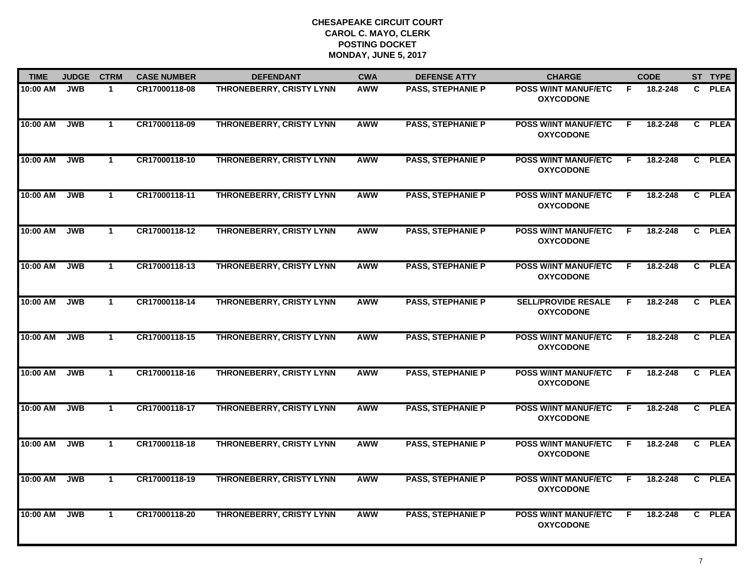| <b>TIME</b> | <b>JUDGE</b> | <b>CTRM</b>  | <b>CASE NUMBER</b> | <b>DEFENDANT</b>                | <b>CWA</b> | <b>DEFENSE ATTY</b>      | <b>CHARGE</b>                                   |    | <b>CODE</b> | ST TYPE |
|-------------|--------------|--------------|--------------------|---------------------------------|------------|--------------------------|-------------------------------------------------|----|-------------|---------|
| 10:00 AM    | <b>JWB</b>   | $\mathbf{1}$ | CR17000118-08      | THRONEBERRY, CRISTY LYNN        | <b>AWW</b> | <b>PASS, STEPHANIE P</b> | <b>POSS W/INT MANUF/ETC</b><br><b>OXYCODONE</b> | F. | 18.2-248    | C PLEA  |
| 10:00 AM    | <b>JWB</b>   | $\mathbf{1}$ | CR17000118-09      | <b>THRONEBERRY, CRISTY LYNN</b> | AWW        | <b>PASS, STEPHANIE P</b> | <b>POSS W/INT MANUF/ETC</b><br><b>OXYCODONE</b> | E  | 18.2-248    | C PLEA  |
| 10:00 AM    | <b>JWB</b>   | $\mathbf{1}$ | CR17000118-10      | <b>THRONEBERRY, CRISTY LYNN</b> | <b>AWW</b> | <b>PASS, STEPHANIE P</b> | <b>POSS W/INT MANUF/ETC</b><br><b>OXYCODONE</b> | F. | 18.2-248    | C PLEA  |
| 10:00 AM    | <b>JWB</b>   | $\mathbf 1$  | CR17000118-11      | THRONEBERRY, CRISTY LYNN        | AWW        | <b>PASS, STEPHANIE P</b> | <b>POSS W/INT MANUF/ETC</b><br><b>OXYCODONE</b> | F. | 18.2-248    | C PLEA  |
| 10:00 AM    | <b>JWB</b>   | $\mathbf{1}$ | CR17000118-12      | THRONEBERRY, CRISTY LYNN        | <b>AWW</b> | <b>PASS, STEPHANIE P</b> | <b>POSS W/INT MANUF/ETC</b><br><b>OXYCODONE</b> | F. | 18.2-248    | C PLEA  |
| 10:00 AM    | <b>JWB</b>   | $\mathbf{1}$ | CR17000118-13      | THRONEBERRY, CRISTY LYNN        | <b>AWW</b> | <b>PASS, STEPHANIE P</b> | <b>POSS W/INT MANUF/ETC</b><br><b>OXYCODONE</b> | F. | 18.2-248    | C PLEA  |
| 10:00 AM    | <b>JWB</b>   | $\mathbf{1}$ | CR17000118-14      | THRONEBERRY, CRISTY LYNN        | <b>AWW</b> | <b>PASS, STEPHANIE P</b> | <b>SELL/PROVIDE RESALE</b><br><b>OXYCODONE</b>  | F. | 18.2-248    | C PLEA  |
| 10:00 AM    | <b>JWB</b>   | $\mathbf{1}$ | CR17000118-15      | THRONEBERRY, CRISTY LYNN        | <b>AWW</b> | <b>PASS, STEPHANIE P</b> | <b>POSS W/INT MANUF/ETC</b><br><b>OXYCODONE</b> | F. | 18.2-248    | C PLEA  |
| 10:00 AM    | <b>JWB</b>   | $\mathbf 1$  | CR17000118-16      | THRONEBERRY, CRISTY LYNN        | <b>AWW</b> | <b>PASS, STEPHANIE P</b> | <b>POSS W/INT MANUF/ETC</b><br><b>OXYCODONE</b> | F  | 18.2-248    | C PLEA  |
| 10:00 AM    | <b>JWB</b>   | $\mathbf 1$  | CR17000118-17      | <b>THRONEBERRY, CRISTY LYNN</b> | <b>AWW</b> | <b>PASS, STEPHANIE P</b> | <b>POSS W/INT MANUF/ETC</b><br><b>OXYCODONE</b> | F  | 18.2-248    | C PLEA  |
| 10:00 AM    | <b>JWB</b>   | $\mathbf{1}$ | CR17000118-18      | THRONEBERRY, CRISTY LYNN        | <b>AWW</b> | <b>PASS, STEPHANIE P</b> | <b>POSS W/INT MANUF/ETC</b><br><b>OXYCODONE</b> | F. | 18.2-248    | C PLEA  |
| 10:00 AM    | <b>JWB</b>   | $\mathbf{1}$ | CR17000118-19      | <b>THRONEBERRY, CRISTY LYNN</b> | <b>AWW</b> | <b>PASS, STEPHANIE P</b> | <b>POSS W/INT MANUF/ETC</b><br><b>OXYCODONE</b> | F. | 18.2-248    | C PLEA  |
| 10:00 AM    | <b>JWB</b>   | $\mathbf{1}$ | CR17000118-20      | <b>THRONEBERRY, CRISTY LYNN</b> | <b>AWW</b> | <b>PASS, STEPHANIE P</b> | <b>POSS W/INT MANUF/ETC</b><br><b>OXYCODONE</b> | F  | 18.2-248    | C PLEA  |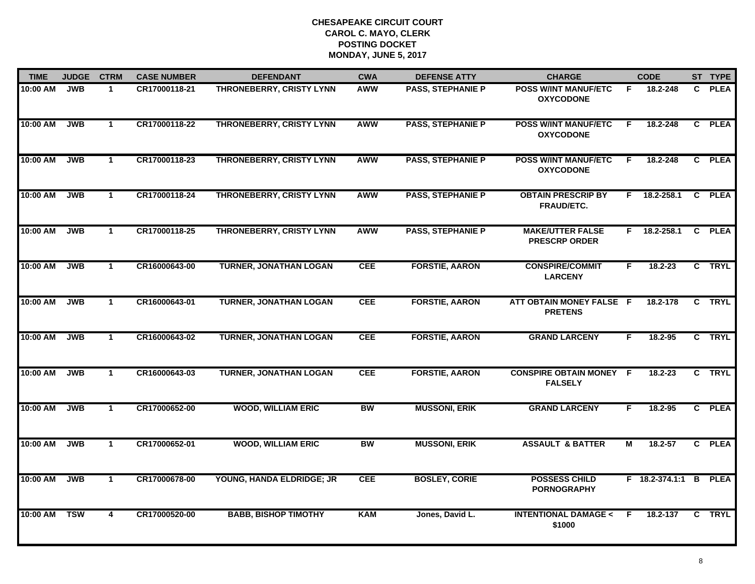| <b>TIME</b> | <b>JUDGE</b> | <b>CTRM</b>  | <b>CASE NUMBER</b> | <b>DEFENDANT</b>                | <b>CWA</b> | <b>DEFENSE ATTY</b>      | <b>CHARGE</b>                                    |    | <b>CODE</b>           |                | ST TYPE     |
|-------------|--------------|--------------|--------------------|---------------------------------|------------|--------------------------|--------------------------------------------------|----|-----------------------|----------------|-------------|
| 10:00 AM    | <b>JWB</b>   | $\mathbf{1}$ | CR17000118-21      | THRONEBERRY, CRISTY LYNN        | <b>AWW</b> | <b>PASS, STEPHANIE P</b> | <b>POSS W/INT MANUF/ETC</b><br><b>OXYCODONE</b>  | F. | 18.2-248              |                | C PLEA      |
| 10:00 AM    | <b>JWB</b>   | $\mathbf{1}$ | CR17000118-22      | <b>THRONEBERRY, CRISTY LYNN</b> | AWW        | <b>PASS, STEPHANIE P</b> | <b>POSS W/INT MANUF/ETC</b><br><b>OXYCODONE</b>  | E  | 18.2-248              |                | C PLEA      |
| 10:00 AM    | <b>JWB</b>   | $\mathbf 1$  | CR17000118-23      | <b>THRONEBERRY, CRISTY LYNN</b> | <b>AWW</b> | <b>PASS, STEPHANIE P</b> | <b>POSS W/INT MANUF/ETC</b><br><b>OXYCODONE</b>  | F. | 18.2-248              |                | C PLEA      |
| 10:00 AM    | <b>JWB</b>   | $\mathbf{1}$ | CR17000118-24      | THRONEBERRY, CRISTY LYNN        | AWW        | <b>PASS, STEPHANIE P</b> | <b>OBTAIN PRESCRIP BY</b><br>FRAUD/ETC.          | F. | 18.2-258.1            |                | C PLEA      |
| 10:00 AM    | <b>JWB</b>   | $\mathbf{1}$ | CR17000118-25      | <b>THRONEBERRY, CRISTY LYNN</b> | <b>AWW</b> | <b>PASS, STEPHANIE P</b> | <b>MAKE/UTTER FALSE</b><br><b>PRESCRP ORDER</b>  |    | F 18.2-258.1          |                | C PLEA      |
| 10:00 AM    | <b>JWB</b>   | $\mathbf{1}$ | CR16000643-00      | <b>TURNER, JONATHAN LOGAN</b>   | <b>CEE</b> | <b>FORSTIE, AARON</b>    | <b>CONSPIRE/COMMIT</b><br><b>LARCENY</b>         | F. | $18.2 - 23$           |                | C TRYL      |
| 10:00 AM    | <b>JWB</b>   | $\mathbf{1}$ | CR16000643-01      | <b>TURNER, JONATHAN LOGAN</b>   | CEE        | <b>FORSTIE, AARON</b>    | ATT OBTAIN MONEY FALSE F<br><b>PRETENS</b>       |    | 18.2-178              | $\overline{c}$ | <b>TRYL</b> |
| 10:00 AM    | <b>JWB</b>   | $\mathbf{1}$ | CR16000643-02      | <b>TURNER, JONATHAN LOGAN</b>   | <b>CEE</b> | <b>FORSTIE, AARON</b>    | <b>GRAND LARCENY</b>                             | F. | 18.2-95               |                | C TRYL      |
| 10:00 AM    | <b>JWB</b>   | $\mathbf 1$  | CR16000643-03      | <b>TURNER, JONATHAN LOGAN</b>   | <b>CEE</b> | <b>FORSTIE, AARON</b>    | <b>CONSPIRE OBTAIN MONEY F</b><br><b>FALSELY</b> |    | 18.2-23               |                | C TRYL      |
| 10:00 AM    | <b>JWB</b>   | $\mathbf{1}$ | CR17000652-00      | <b>WOOD, WILLIAM ERIC</b>       | <b>BW</b>  | <b>MUSSONI, ERIK</b>     | <b>GRAND LARCENY</b>                             | F. | $18.2 - 95$           |                | C PLEA      |
| 10:00 AM    | <b>JWB</b>   | $\mathbf{1}$ | CR17000652-01      | <b>WOOD, WILLIAM ERIC</b>       | <b>BW</b>  | <b>MUSSONI, ERIK</b>     | <b>ASSAULT &amp; BATTER</b>                      | М  | 18.2-57               |                | C PLEA      |
| 10:00 AM    | <b>JWB</b>   | $\mathbf{1}$ | CR17000678-00      | YOUNG, HANDA ELDRIDGE; JR       | CEE        | <b>BOSLEY, CORIE</b>     | <b>POSSESS CHILD</b><br><b>PORNOGRAPHY</b>       |    | F 18.2-374.1:1 B PLEA |                |             |
| 10:00 AM    | <b>TSW</b>   | 4            | CR17000520-00      | <b>BABB, BISHOP TIMOTHY</b>     | <b>KAM</b> | Jones, David L.          | <b>INTENTIONAL DAMAGE &lt;</b><br>\$1000         | F. | 18.2-137              |                | C TRYL      |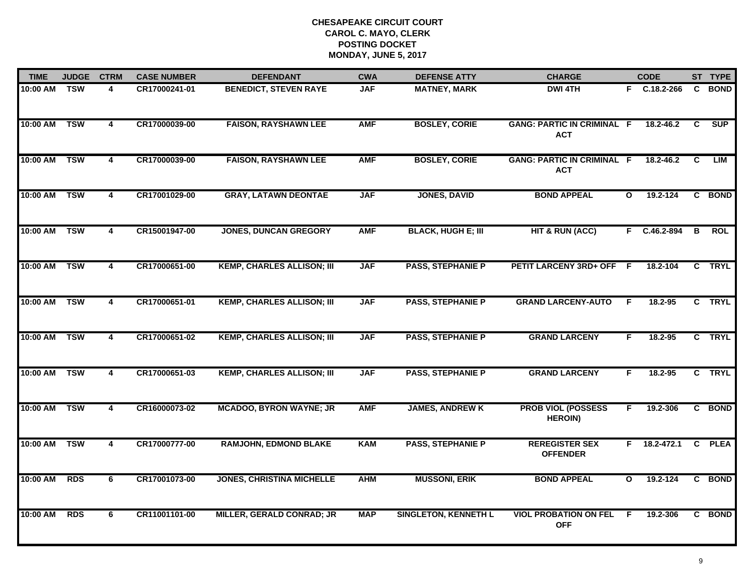| <b>TIME</b>  | <b>JUDGE</b> | <b>CTRM</b>             | <b>CASE NUMBER</b> | <b>DEFENDANT</b>                  | <b>CWA</b> | <b>DEFENSE ATTY</b>         | <b>CHARGE</b>                                   |              | <b>CODE</b>        |   | ST TYPE    |
|--------------|--------------|-------------------------|--------------------|-----------------------------------|------------|-----------------------------|-------------------------------------------------|--------------|--------------------|---|------------|
| 10:00 AM TSW |              | 4                       | CR17000241-01      | <b>BENEDICT, STEVEN RAYE</b>      | <b>JAF</b> | <b>MATNEY, MARK</b>         | <b>DWI 4TH</b>                                  |              | F C.18.2-266       |   | C BOND     |
| 10:00 AM     | <b>TSW</b>   | $\overline{\mathbf{4}}$ | CR17000039-00      | <b>FAISON, RAYSHAWN LEE</b>       | <b>AMF</b> | <b>BOSLEY, CORIE</b>        | <b>GANG: PARTIC IN CRIMINAL F</b><br><b>ACT</b> |              | $18.2 - 46.2$      | C | SUP        |
| 10:00 AM     | <b>TSW</b>   | 4                       | CR17000039-00      | <b>FAISON, RAYSHAWN LEE</b>       | <b>AMF</b> | <b>BOSLEY, CORIE</b>        | <b>GANG: PARTIC IN CRIMINAL F</b><br><b>ACT</b> |              | $18.2 - 46.2$      | C | LIM        |
| 10:00 AM     | <b>TSW</b>   | 4                       | CR17001029-00      | <b>GRAY, LATAWN DEONTAE</b>       | <b>JAF</b> | <b>JONES, DAVID</b>         | <b>BOND APPEAL</b>                              | $\mathbf{o}$ | 19.2-124           |   | C BOND     |
| 10:00 AM     | <b>TSW</b>   | 4                       | CR15001947-00      | <b>JONES, DUNCAN GREGORY</b>      | <b>AMF</b> | <b>BLACK, HUGH E; III</b>   | <b>HIT &amp; RUN (ACC)</b>                      |              | F C.46.2-894       | В | <b>ROL</b> |
| 10:00 AM     | <b>TSW</b>   | 4                       | CR17000651-00      | <b>KEMP, CHARLES ALLISON; III</b> | <b>JAF</b> | <b>PASS, STEPHANIE P</b>    | PETIT LARCENY 3RD+ OFF F                        |              | 18.2-104           |   | C TRYL     |
| 10:00 AM     | <b>TSW</b>   | $\overline{\mathbf{4}}$ | CR17000651-01      | <b>KEMP, CHARLES ALLISON; III</b> | <b>JAF</b> | <b>PASS, STEPHANIE P</b>    | <b>GRAND LARCENY-AUTO</b>                       | F.           | 18.2-95            |   | C TRYL     |
| 10:00 AM     | <b>TSW</b>   | 4                       | CR17000651-02      | <b>KEMP, CHARLES ALLISON; III</b> | <b>JAF</b> | <b>PASS, STEPHANIE P</b>    | <b>GRAND LARCENY</b>                            | F.           | 18.2-95            |   | C TRYL     |
| 10:00 AM     | <b>TSW</b>   | 4                       | CR17000651-03      | <b>KEMP, CHARLES ALLISON; III</b> | <b>JAF</b> | <b>PASS, STEPHANIE P</b>    | <b>GRAND LARCENY</b>                            | F            | 18.2-95            |   | C TRYL     |
| 10:00 AM     | <b>TSW</b>   | $\overline{\mathbf{4}}$ | CR16000073-02      | <b>MCADOO, BYRON WAYNE; JR</b>    | <b>AMF</b> | <b>JAMES, ANDREW K</b>      | <b>PROB VIOL (POSSESS</b><br><b>HEROIN)</b>     | F.           | 19.2-306           |   | C BOND     |
| 10:00 AM     | <b>TSW</b>   | 4                       | CR17000777-00      | <b>RAMJOHN, EDMOND BLAKE</b>      | <b>KAM</b> | <b>PASS, STEPHANIE P</b>    | <b>REREGISTER SEX</b><br><b>OFFENDER</b>        |              | $F = 18.2 - 472.1$ |   | C PLEA     |
| 10:00 AM     | <b>RDS</b>   | 6                       | CR17001073-00      | <b>JONES, CHRISTINA MICHELLE</b>  | <b>AHM</b> | <b>MUSSONI, ERIK</b>        | <b>BOND APPEAL</b>                              | $\mathbf{o}$ | 19.2-124           |   | C BOND     |
| 10:00 AM     | <b>RDS</b>   | 6                       | CR11001101-00      | <b>MILLER, GERALD CONRAD; JR</b>  | <b>MAP</b> | <b>SINGLETON, KENNETH L</b> | <b>VIOL PROBATION ON FEL</b><br><b>OFF</b>      | F.           | 19.2-306           |   | C BOND     |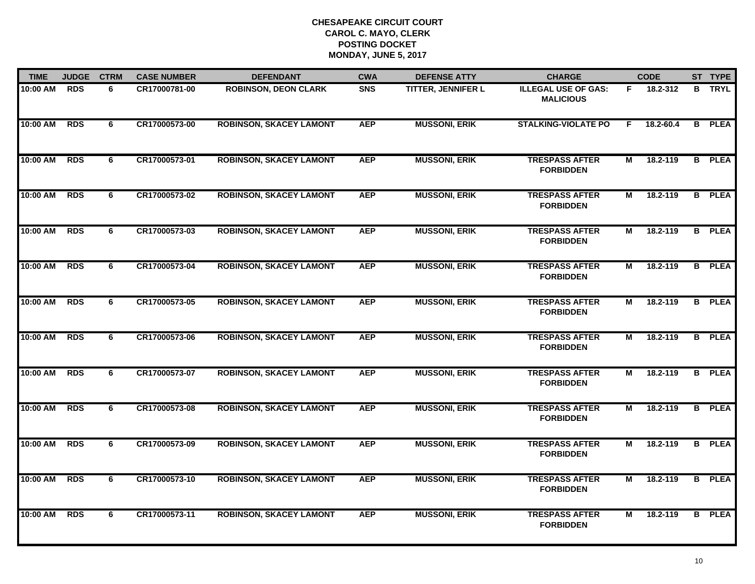| <b>TIME</b> | <b>JUDGE</b> | <b>CTRM</b> | <b>CASE NUMBER</b> | <b>DEFENDANT</b>               | <b>CWA</b> | <b>DEFENSE ATTY</b>       | <b>CHARGE</b>                                  |                | <b>CODE</b> | ST TYPE       |
|-------------|--------------|-------------|--------------------|--------------------------------|------------|---------------------------|------------------------------------------------|----------------|-------------|---------------|
| 10:00 AM    | <b>RDS</b>   | 6           | CR17000781-00      | <b>ROBINSON, DEON CLARK</b>    | <b>SNS</b> | <b>TITTER, JENNIFER L</b> | <b>ILLEGAL USE OF GAS:</b><br><b>MALICIOUS</b> | F.             | 18.2-312    | <b>B</b> TRYL |
| 10:00 AM    | <b>RDS</b>   | 6           | CR17000573-00      | <b>ROBINSON, SKACEY LAMONT</b> | <b>AEP</b> | <b>MUSSONI, ERIK</b>      | <b>STALKING-VIOLATE PO</b>                     | E              | 18.2-60.4   | <b>B</b> PLEA |
| 10:00 AM    | <b>RDS</b>   | 6           | CR17000573-01      | <b>ROBINSON, SKACEY LAMONT</b> | <b>AEP</b> | <b>MUSSONI, ERIK</b>      | <b>TRESPASS AFTER</b><br><b>FORBIDDEN</b>      | М              | 18.2-119    | <b>B</b> PLEA |
| 10:00 AM    | <b>RDS</b>   | 6           | CR17000573-02      | <b>ROBINSON, SKACEY LAMONT</b> | <b>AEP</b> | <b>MUSSONI, ERIK</b>      | <b>TRESPASS AFTER</b><br><b>FORBIDDEN</b>      | М              | 18.2-119    | <b>B</b> PLEA |
| 10:00 AM    | <b>RDS</b>   | 6           | CR17000573-03      | <b>ROBINSON, SKACEY LAMONT</b> | <b>AEP</b> | <b>MUSSONI, ERIK</b>      | <b>TRESPASS AFTER</b><br><b>FORBIDDEN</b>      | М              | 18.2-119    | <b>B</b> PLEA |
| 10:00 AM    | <b>RDS</b>   | 6           | CR17000573-04      | <b>ROBINSON, SKACEY LAMONT</b> | <b>AEP</b> | <b>MUSSONI, ERIK</b>      | <b>TRESPASS AFTER</b><br><b>FORBIDDEN</b>      | М              | 18.2-119    | <b>B</b> PLEA |
| 10:00 AM    | <b>RDS</b>   | 6           | CR17000573-05      | <b>ROBINSON, SKACEY LAMONT</b> | <b>AEP</b> | <b>MUSSONI, ERIK</b>      | <b>TRESPASS AFTER</b><br><b>FORBIDDEN</b>      | $\overline{M}$ | 18.2-119    | <b>B</b> PLEA |
| 10:00 AM    | <b>RDS</b>   | 6           | CR17000573-06      | <b>ROBINSON, SKACEY LAMONT</b> | <b>AEP</b> | <b>MUSSONI, ERIK</b>      | <b>TRESPASS AFTER</b><br><b>FORBIDDEN</b>      | М              | 18.2-119    | <b>B</b> PLEA |
| 10:00 AM    | <b>RDS</b>   | 6           | CR17000573-07      | <b>ROBINSON, SKACEY LAMONT</b> | <b>AEP</b> | <b>MUSSONI, ERIK</b>      | <b>TRESPASS AFTER</b><br><b>FORBIDDEN</b>      | М              | 18.2-119    | <b>B</b> PLEA |
| 10:00 AM    | <b>RDS</b>   | 6           | CR17000573-08      | <b>ROBINSON, SKACEY LAMONT</b> | <b>AEP</b> | <b>MUSSONI, ERIK</b>      | <b>TRESPASS AFTER</b><br><b>FORBIDDEN</b>      | М              | 18.2-119    | <b>B</b> PLEA |
| 10:00 AM    | <b>RDS</b>   | 6           | CR17000573-09      | <b>ROBINSON, SKACEY LAMONT</b> | <b>AEP</b> | <b>MUSSONI, ERIK</b>      | <b>TRESPASS AFTER</b><br><b>FORBIDDEN</b>      | М              | 18.2-119    | <b>B</b> PLEA |
| 10:00 AM    | <b>RDS</b>   | 6           | CR17000573-10      | <b>ROBINSON, SKACEY LAMONT</b> | <b>AEP</b> | <b>MUSSONI, ERIK</b>      | <b>TRESPASS AFTER</b><br><b>FORBIDDEN</b>      | $\overline{M}$ | 18.2-119    | <b>B</b> PLEA |
| 10:00 AM    | <b>RDS</b>   | 6           | CR17000573-11      | <b>ROBINSON, SKACEY LAMONT</b> | <b>AEP</b> | <b>MUSSONI, ERIK</b>      | <b>TRESPASS AFTER</b><br><b>FORBIDDEN</b>      | М              | 18.2-119    | <b>B</b> PLEA |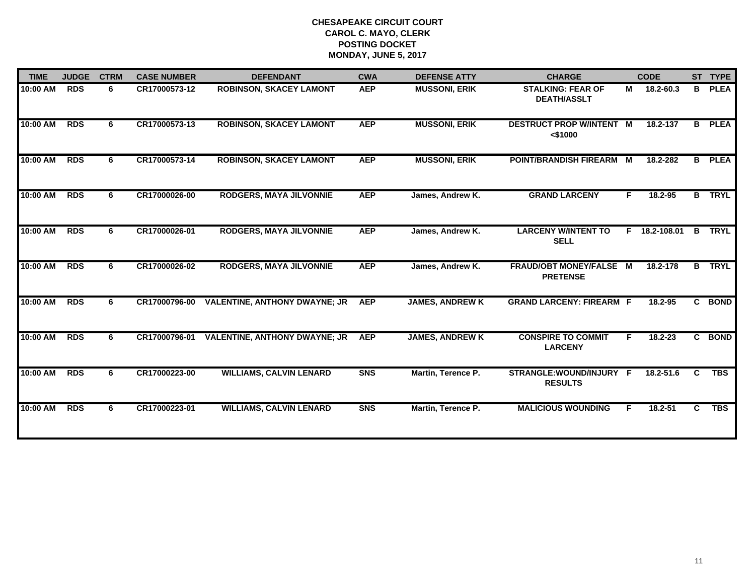| <b>TIME</b> | <b>JUDGE</b> | <b>CTRM</b> | <b>CASE NUMBER</b> | <b>DEFENDANT</b>                     | <b>CWA</b> | <b>DEFENSE ATTY</b>    | <b>CHARGE</b>                                     |    | <b>CODE</b>   |                | ST TYPE       |
|-------------|--------------|-------------|--------------------|--------------------------------------|------------|------------------------|---------------------------------------------------|----|---------------|----------------|---------------|
| 10:00 AM    | <b>RDS</b>   | 6           | CR17000573-12      | <b>ROBINSON, SKACEY LAMONT</b>       | <b>AEP</b> | <b>MUSSONI, ERIK</b>   | <b>STALKING: FEAR OF</b><br><b>DEATH/ASSLT</b>    | M  | 18.2-60.3     | B              | <b>PLEA</b>   |
| 10:00 AM    | <b>RDS</b>   | 6           | CR17000573-13      | <b>ROBINSON, SKACEY LAMONT</b>       | <b>AEP</b> | <b>MUSSONI, ERIK</b>   | <b>DESTRUCT PROP W/INTENT M</b><br>$<$ \$1000     |    | 18.2-137      | B              | <b>PLEA</b>   |
| 10:00 AM    | <b>RDS</b>   | 6           | CR17000573-14      | <b>ROBINSON, SKACEY LAMONT</b>       | <b>AEP</b> | <b>MUSSONI, ERIK</b>   | <b>POINT/BRANDISH FIREARM</b>                     | M  | 18.2-282      | в              | <b>PLEA</b>   |
| 10:00 AM    | <b>RDS</b>   | 6           | CR17000026-00      | RODGERS, MAYA JILVONNIE              | <b>AEP</b> | James, Andrew K.       | <b>GRAND LARCENY</b>                              | F. | 18.2-95       |                | <b>B</b> TRYL |
| 10:00 AM    | <b>RDS</b>   | 6           | CR17000026-01      | <b>RODGERS, MAYA JILVONNIE</b>       | <b>AEP</b> | James, Andrew K.       | <b>LARCENY W/INTENT TO</b><br><b>SELL</b>         |    | F 18.2-108.01 | $\mathbf{B}$   | <b>TRYL</b>   |
| 10:00 AM    | <b>RDS</b>   | 6           | CR17000026-02      | <b>RODGERS, MAYA JILVONNIE</b>       | <b>AEP</b> | James, Andrew K.       | <b>FRAUD/OBT MONEY/FALSE M</b><br><b>PRETENSE</b> |    | 18.2-178      | B.             | <b>TRYL</b>   |
| 10:00 AM    | <b>RDS</b>   | 6           | CR17000796-00      | <b>VALENTINE, ANTHONY DWAYNE; JR</b> | <b>AEP</b> | <b>JAMES, ANDREW K</b> | <b>GRAND LARCENY: FIREARM F</b>                   |    | 18.2-95       |                | C BOND        |
| 10:00 AM    | <b>RDS</b>   | 6           | CR17000796-01      | <b>VALENTINE, ANTHONY DWAYNE; JR</b> | <b>AEP</b> | <b>JAMES, ANDREW K</b> | <b>CONSPIRE TO COMMIT</b><br><b>LARCENY</b>       | F. | 18.2-23       | $\overline{c}$ | <b>BOND</b>   |
| 10:00 AM    | <b>RDS</b>   | 6           | CR17000223-00      | <b>WILLIAMS, CALVIN LENARD</b>       | <b>SNS</b> | Martin, Terence P.     | STRANGLE:WOUND/INJURY F<br><b>RESULTS</b>         |    | 18.2-51.6     | C              | <b>TBS</b>    |
| 10:00 AM    | <b>RDS</b>   | 6           | CR17000223-01      | <b>WILLIAMS, CALVIN LENARD</b>       | <b>SNS</b> | Martin, Terence P.     | <b>MALICIOUS WOUNDING</b>                         | F. | 18.2-51       | C.             | <b>TBS</b>    |